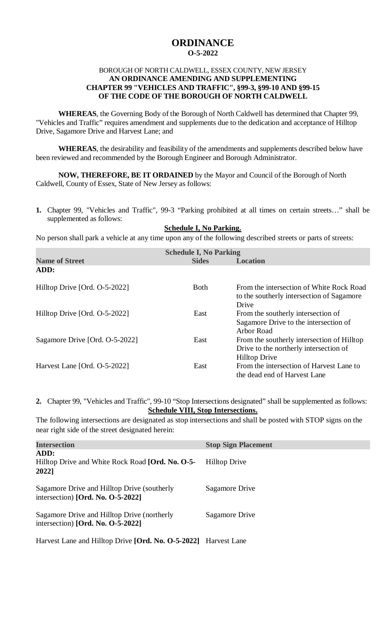## **ORDINANCE O-5-2022**

## BOROUGH OF NORTH CALDWELL, ESSEX COUNTY, NEW JERSEY **AN ORDINANCE AMENDING AND SUPPLEMENTING CHAPTER 99 "VEHICLES AND TRAFFIC", §99-3, §99-10 AND §99-15 OF THE CODE OF THE BOROUGH OF NORTH CALDWELL**

**WHEREAS**, the Governing Body of the Borough of North Caldwell has determined that Chapter 99, "Vehicles and Traffic" requires amendment and supplements due to the dedication and acceptance of Hilltop Drive, Sagamore Drive and Harvest Lane; and

**WHEREAS**, the desirability and feasibility of the amendments and supplements described below have been reviewed and recommended by the Borough Engineer and Borough Administrator.

**NOW, THEREFORE, BE IT ORDAINED** by the Mayor and Council of the Borough of North Caldwell, County of Essex, State of New Jersey as follows:

**1.** Chapter 99, "Vehicles and Traffic", 99-3 "Parking prohibited at all times on certain streets…" shall be supplemented as follows:

## **Schedule I, No Parking.**

No person shall park a vehicle at any time upon any of the following described streets or parts of streets:

| <b>Schedule I, No Parking</b>  |              |                                                                                                              |  |  |  |  |
|--------------------------------|--------------|--------------------------------------------------------------------------------------------------------------|--|--|--|--|
| <b>Name of Street</b>          | <b>Sides</b> | <b>Location</b>                                                                                              |  |  |  |  |
| ADD:                           |              |                                                                                                              |  |  |  |  |
| Hilltop Drive [Ord. O-5-2022]  | <b>Both</b>  | From the intersection of White Rock Road<br>to the southerly intersection of Sagamore<br>Drive               |  |  |  |  |
| Hilltop Drive [Ord. O-5-2022]  | East         | From the southerly intersection of<br>Sagamore Drive to the intersection of<br>Arbor Road                    |  |  |  |  |
| Sagamore Drive [Ord. O-5-2022] | East         | From the southerly intersection of Hilltop<br>Drive to the northerly intersection of<br><b>Hilltop Drive</b> |  |  |  |  |
| Harvest Lane [Ord. O-5-2022]   | East         | From the intersection of Harvest Lane to<br>the dead end of Harvest Lane                                     |  |  |  |  |

**2.** Chapter 99, "Vehicles and Traffic", 99-10 "Stop Intersections designated" shall be supplemented as follows: **Schedule VIII, Stop Intersections.**

The following intersections are designated as stop intersections and shall be posted with STOP signs on the near right side of the street designated herein:

| <b>Intersection</b>                                                                 | <b>Stop Sign Placement</b> |
|-------------------------------------------------------------------------------------|----------------------------|
| ADD:<br>Hilltop Drive and White Rock Road [Ord. No. O-5-<br>2022]                   | <b>Hilltop Drive</b>       |
| Sagamore Drive and Hilltop Drive (southerly<br>intersection) [Ord. No. $O-5-2022$ ] | Sagamore Drive             |
| Sagamore Drive and Hilltop Drive (northerly<br>intersection) [Ord. No. $O-5-2022$ ] | Sagamore Drive             |
| Harvest Lane and Hilltop Drive [Ord. No. O-5-2022] Harvest Lane                     |                            |